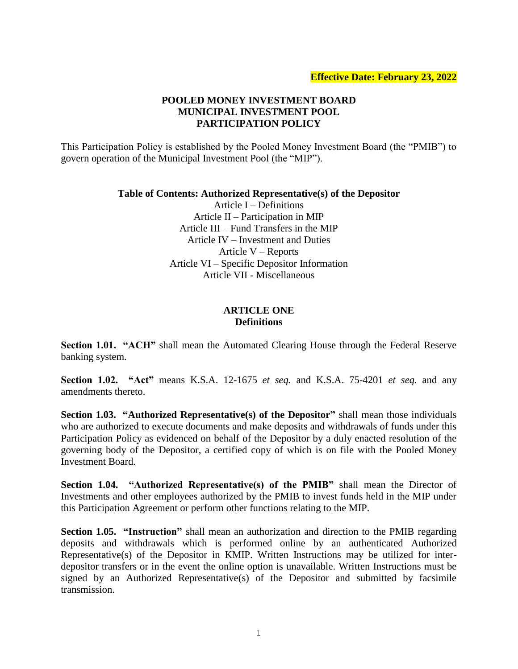# **POOLED MONEY INVESTMENT BOARD MUNICIPAL INVESTMENT POOL PARTICIPATION POLICY**

This Participation Policy is established by the Pooled Money Investment Board (the "PMIB") to govern operation of the Municipal Investment Pool (the "MIP").

#### **Table of Contents: Authorized Representative(s) of the Depositor**

Article I – Definitions Article II – Participation in MIP Article III – Fund Transfers in the MIP Article IV – Investment and Duties Article V – Reports Article VI – Specific Depositor Information Article VII - Miscellaneous

#### **ARTICLE ONE Definitions**

**Section 1.01. "ACH"** shall mean the Automated Clearing House through the Federal Reserve banking system.

**Section 1.02. "Act"** means K.S.A. 12-1675 *et seq.* and K.S.A. 75-4201 *et seq.* and any amendments thereto.

**Section 1.03. "Authorized Representative(s) of the Depositor"** shall mean those individuals who are authorized to execute documents and make deposits and withdrawals of funds under this Participation Policy as evidenced on behalf of the Depositor by a duly enacted resolution of the governing body of the Depositor, a certified copy of which is on file with the Pooled Money Investment Board.

**Section 1.04.** "Authorized Representative(s) of the PMIB" shall mean the Director of Investments and other employees authorized by the PMIB to invest funds held in the MIP under this Participation Agreement or perform other functions relating to the MIP.

**Section 1.05. "Instruction"** shall mean an authorization and direction to the PMIB regarding deposits and withdrawals which is performed online by an authenticated Authorized Representative(s) of the Depositor in KMIP. Written Instructions may be utilized for interdepositor transfers or in the event the online option is unavailable. Written Instructions must be signed by an Authorized Representative(s) of the Depositor and submitted by facsimile transmission.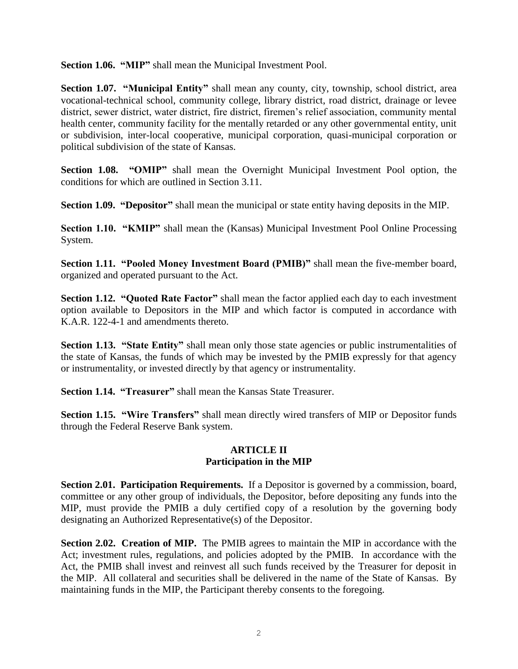**Section 1.06. "MIP"** shall mean the Municipal Investment Pool.

**Section 1.07. "Municipal Entity"** shall mean any county, city, township, school district, area vocational-technical school, community college, library district, road district, drainage or levee district, sewer district, water district, fire district, firemen's relief association, community mental health center, community facility for the mentally retarded or any other governmental entity, unit or subdivision, inter-local cooperative, municipal corporation, quasi-municipal corporation or political subdivision of the state of Kansas.

**Section 1.08. "OMIP"** shall mean the Overnight Municipal Investment Pool option, the conditions for which are outlined in Section 3.11.

**Section 1.09. "Depositor"** shall mean the municipal or state entity having deposits in the MIP.

**Section 1.10. "KMIP"** shall mean the (Kansas) Municipal Investment Pool Online Processing System.

**Section 1.11. "Pooled Money Investment Board (PMIB)"** shall mean the five-member board, organized and operated pursuant to the Act.

**Section 1.12. "Quoted Rate Factor"** shall mean the factor applied each day to each investment option available to Depositors in the MIP and which factor is computed in accordance with K.A.R. 122-4-1 and amendments thereto.

**Section 1.13. "State Entity"** shall mean only those state agencies or public instrumentalities of the state of Kansas, the funds of which may be invested by the PMIB expressly for that agency or instrumentality, or invested directly by that agency or instrumentality.

**Section 1.14. "Treasurer"** shall mean the Kansas State Treasurer.

**Section 1.15. "Wire Transfers"** shall mean directly wired transfers of MIP or Depositor funds through the Federal Reserve Bank system.

### **ARTICLE II Participation in the MIP**

**Section 2.01. Participation Requirements.** If a Depositor is governed by a commission, board, committee or any other group of individuals, the Depositor, before depositing any funds into the MIP, must provide the PMIB a duly certified copy of a resolution by the governing body designating an Authorized Representative(s) of the Depositor.

**Section 2.02. Creation of MIP.** The PMIB agrees to maintain the MIP in accordance with the Act; investment rules, regulations, and policies adopted by the PMIB. In accordance with the Act, the PMIB shall invest and reinvest all such funds received by the Treasurer for deposit in the MIP. All collateral and securities shall be delivered in the name of the State of Kansas. By maintaining funds in the MIP, the Participant thereby consents to the foregoing.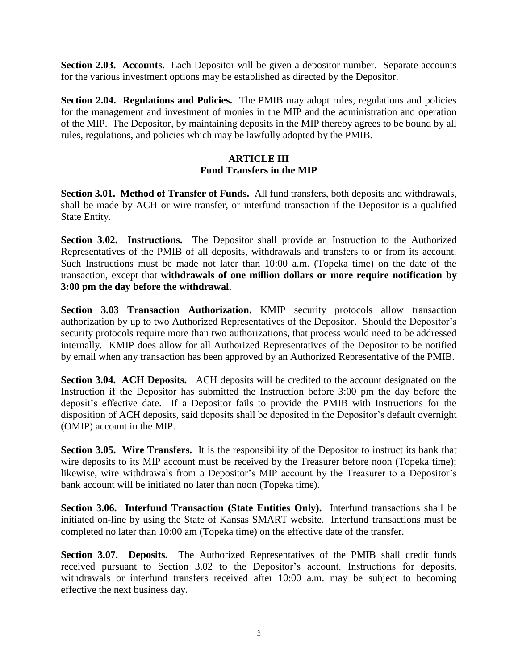**Section 2.03. Accounts.** Each Depositor will be given a depositor number. Separate accounts for the various investment options may be established as directed by the Depositor.

**Section 2.04. Regulations and Policies.** The PMIB may adopt rules, regulations and policies for the management and investment of monies in the MIP and the administration and operation of the MIP. The Depositor, by maintaining deposits in the MIP thereby agrees to be bound by all rules, regulations, and policies which may be lawfully adopted by the PMIB.

### **ARTICLE III Fund Transfers in the MIP**

**Section 3.01. Method of Transfer of Funds.** All fund transfers, both deposits and withdrawals, shall be made by ACH or wire transfer, or interfund transaction if the Depositor is a qualified State Entity.

**Section 3.02. Instructions.** The Depositor shall provide an Instruction to the Authorized Representatives of the PMIB of all deposits, withdrawals and transfers to or from its account. Such Instructions must be made not later than 10:00 a.m. (Topeka time) on the date of the transaction, except that **withdrawals of one million dollars or more require notification by 3:00 pm the day before the withdrawal.**

**Section 3.03 Transaction Authorization.** KMIP security protocols allow transaction authorization by up to two Authorized Representatives of the Depositor. Should the Depositor's security protocols require more than two authorizations, that process would need to be addressed internally. KMIP does allow for all Authorized Representatives of the Depositor to be notified by email when any transaction has been approved by an Authorized Representative of the PMIB.

**Section 3.04. ACH Deposits.** ACH deposits will be credited to the account designated on the Instruction if the Depositor has submitted the Instruction before 3:00 pm the day before the deposit's effective date. If a Depositor fails to provide the PMIB with Instructions for the disposition of ACH deposits, said deposits shall be deposited in the Depositor's default overnight (OMIP) account in the MIP.

**Section 3.05. Wire Transfers.** It is the responsibility of the Depositor to instruct its bank that wire deposits to its MIP account must be received by the Treasurer before noon (Topeka time); likewise, wire withdrawals from a Depositor's MIP account by the Treasurer to a Depositor's bank account will be initiated no later than noon (Topeka time).

**Section 3.06. Interfund Transaction (State Entities Only).** Interfund transactions shall be initiated on-line by using the State of Kansas SMART website. Interfund transactions must be completed no later than 10:00 am (Topeka time) on the effective date of the transfer.

**Section 3.07. Deposits.** The Authorized Representatives of the PMIB shall credit funds received pursuant to Section 3.02 to the Depositor's account. Instructions for deposits, withdrawals or interfund transfers received after 10:00 a.m. may be subject to becoming effective the next business day.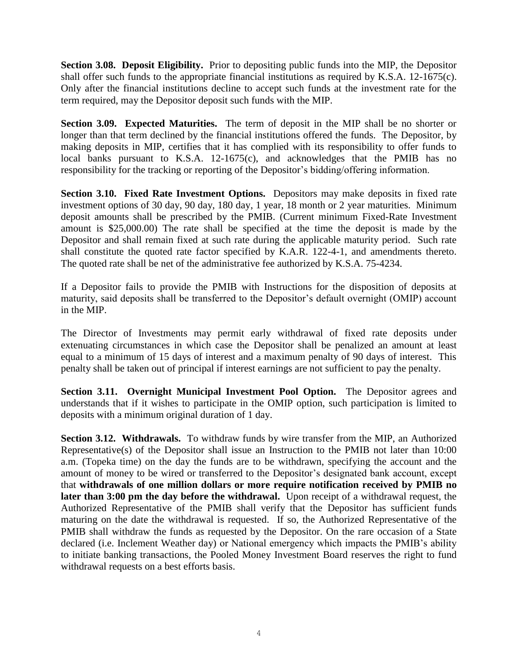**Section 3.08. Deposit Eligibility.** Prior to depositing public funds into the MIP, the Depositor shall offer such funds to the appropriate financial institutions as required by K.S.A. 12-1675(c). Only after the financial institutions decline to accept such funds at the investment rate for the term required, may the Depositor deposit such funds with the MIP.

**Section 3.09. Expected Maturities.** The term of deposit in the MIP shall be no shorter or longer than that term declined by the financial institutions offered the funds. The Depositor, by making deposits in MIP, certifies that it has complied with its responsibility to offer funds to local banks pursuant to K.S.A. 12-1675(c), and acknowledges that the PMIB has no responsibility for the tracking or reporting of the Depositor's bidding/offering information.

**Section 3.10. Fixed Rate Investment Options.** Depositors may make deposits in fixed rate investment options of 30 day, 90 day, 180 day, 1 year, 18 month or 2 year maturities. Minimum deposit amounts shall be prescribed by the PMIB. (Current minimum Fixed-Rate Investment amount is \$25,000.00) The rate shall be specified at the time the deposit is made by the Depositor and shall remain fixed at such rate during the applicable maturity period. Such rate shall constitute the quoted rate factor specified by K.A.R. 122-4-1, and amendments thereto. The quoted rate shall be net of the administrative fee authorized by K.S.A. 75-4234.

If a Depositor fails to provide the PMIB with Instructions for the disposition of deposits at maturity, said deposits shall be transferred to the Depositor's default overnight (OMIP) account in the MIP.

The Director of Investments may permit early withdrawal of fixed rate deposits under extenuating circumstances in which case the Depositor shall be penalized an amount at least equal to a minimum of 15 days of interest and a maximum penalty of 90 days of interest. This penalty shall be taken out of principal if interest earnings are not sufficient to pay the penalty.

**Section 3.11. Overnight Municipal Investment Pool Option.** The Depositor agrees and understands that if it wishes to participate in the OMIP option, such participation is limited to deposits with a minimum original duration of 1 day.

**Section 3.12. Withdrawals.** To withdraw funds by wire transfer from the MIP, an Authorized Representative(s) of the Depositor shall issue an Instruction to the PMIB not later than 10:00 a.m. (Topeka time) on the day the funds are to be withdrawn, specifying the account and the amount of money to be wired or transferred to the Depositor's designated bank account, except that **withdrawals of one million dollars or more require notification received by PMIB no later than 3:00 pm the day before the withdrawal.** Upon receipt of a withdrawal request, the Authorized Representative of the PMIB shall verify that the Depositor has sufficient funds maturing on the date the withdrawal is requested. If so, the Authorized Representative of the PMIB shall withdraw the funds as requested by the Depositor. On the rare occasion of a State declared (i.e. Inclement Weather day) or National emergency which impacts the PMIB's ability to initiate banking transactions, the Pooled Money Investment Board reserves the right to fund withdrawal requests on a best efforts basis.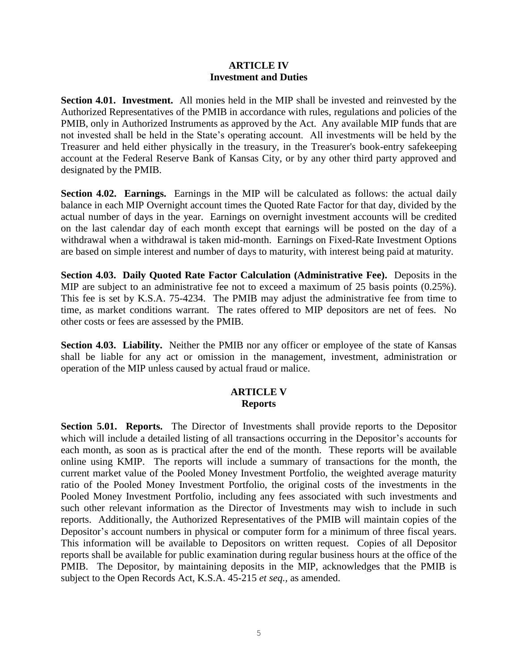#### **ARTICLE IV Investment and Duties**

**Section 4.01. Investment.** All monies held in the MIP shall be invested and reinvested by the Authorized Representatives of the PMIB in accordance with rules, regulations and policies of the PMIB, only in Authorized Instruments as approved by the Act. Any available MIP funds that are not invested shall be held in the State's operating account. All investments will be held by the Treasurer and held either physically in the treasury, in the Treasurer's book-entry safekeeping account at the Federal Reserve Bank of Kansas City, or by any other third party approved and designated by the PMIB.

**Section 4.02. Earnings.** Earnings in the MIP will be calculated as follows: the actual daily balance in each MIP Overnight account times the Quoted Rate Factor for that day, divided by the actual number of days in the year. Earnings on overnight investment accounts will be credited on the last calendar day of each month except that earnings will be posted on the day of a withdrawal when a withdrawal is taken mid-month. Earnings on Fixed-Rate Investment Options are based on simple interest and number of days to maturity, with interest being paid at maturity.

**Section 4.03. Daily Quoted Rate Factor Calculation (Administrative Fee).** Deposits in the MIP are subject to an administrative fee not to exceed a maximum of 25 basis points (0.25%). This fee is set by K.S.A. 75-4234. The PMIB may adjust the administrative fee from time to time, as market conditions warrant. The rates offered to MIP depositors are net of fees. No other costs or fees are assessed by the PMIB.

**Section 4.03. Liability.** Neither the PMIB nor any officer or employee of the state of Kansas shall be liable for any act or omission in the management, investment, administration or operation of the MIP unless caused by actual fraud or malice.

# **ARTICLE V Reports**

**Section 5.01. Reports.** The Director of Investments shall provide reports to the Depositor which will include a detailed listing of all transactions occurring in the Depositor's accounts for each month, as soon as is practical after the end of the month. These reports will be available online using KMIP. The reports will include a summary of transactions for the month, the current market value of the Pooled Money Investment Portfolio, the weighted average maturity ratio of the Pooled Money Investment Portfolio, the original costs of the investments in the Pooled Money Investment Portfolio, including any fees associated with such investments and such other relevant information as the Director of Investments may wish to include in such reports. Additionally, the Authorized Representatives of the PMIB will maintain copies of the Depositor's account numbers in physical or computer form for a minimum of three fiscal years. This information will be available to Depositors on written request. Copies of all Depositor reports shall be available for public examination during regular business hours at the office of the PMIB. The Depositor, by maintaining deposits in the MIP, acknowledges that the PMIB is subject to the Open Records Act, K.S.A. 45-215 *et seq.,* as amended.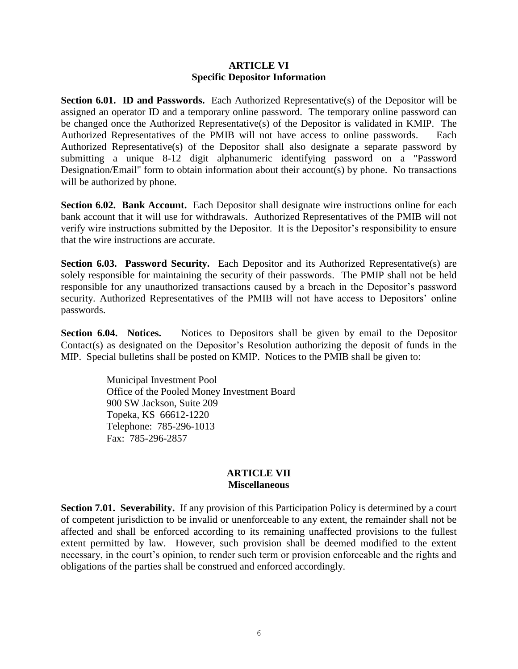### **ARTICLE VI Specific Depositor Information**

**Section 6.01. ID and Passwords.** Each Authorized Representative(s) of the Depositor will be assigned an operator ID and a temporary online password. The temporary online password can be changed once the Authorized Representative(s) of the Depositor is validated in KMIP. The Authorized Representatives of the PMIB will not have access to online passwords. Each Authorized Representative(s) of the Depositor shall also designate a separate password by submitting a unique 8-12 digit alphanumeric identifying password on a "Password Designation/Email" form to obtain information about their account(s) by phone. No transactions will be authorized by phone.

**Section 6.02. Bank Account.** Each Depositor shall designate wire instructions online for each bank account that it will use for withdrawals. Authorized Representatives of the PMIB will not verify wire instructions submitted by the Depositor. It is the Depositor's responsibility to ensure that the wire instructions are accurate.

**Section 6.03. Password Security.** Each Depositor and its Authorized Representative(s) are solely responsible for maintaining the security of their passwords. The PMIP shall not be held responsible for any unauthorized transactions caused by a breach in the Depositor's password security. Authorized Representatives of the PMIB will not have access to Depositors' online passwords.

**Section 6.04. Notices.** Notices to Depositors shall be given by email to the Depositor Contact(s) as designated on the Depositor's Resolution authorizing the deposit of funds in the MIP. Special bulletins shall be posted on KMIP. Notices to the PMIB shall be given to:

> Municipal Investment Pool Office of the Pooled Money Investment Board 900 SW Jackson, Suite 209 Topeka, KS 66612-1220 Telephone: 785-296-1013 Fax: 785-296-2857

# **ARTICLE VII Miscellaneous**

**Section 7.01. Severability.** If any provision of this Participation Policy is determined by a court of competent jurisdiction to be invalid or unenforceable to any extent, the remainder shall not be affected and shall be enforced according to its remaining unaffected provisions to the fullest extent permitted by law. However, such provision shall be deemed modified to the extent necessary, in the court's opinion, to render such term or provision enforceable and the rights and obligations of the parties shall be construed and enforced accordingly.